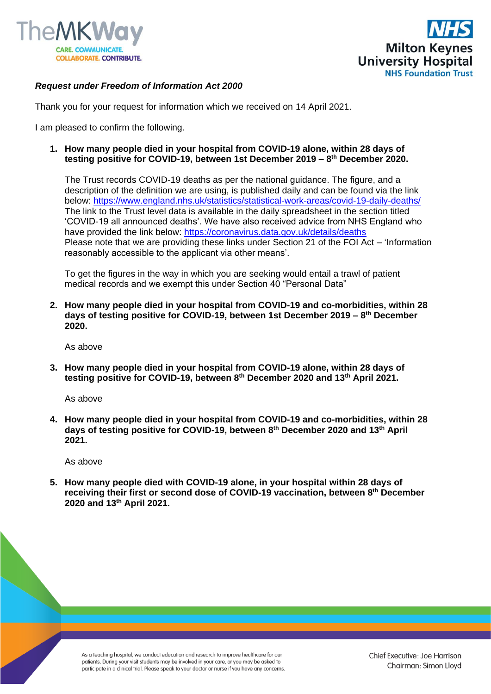



## *Request under Freedom of Information Act 2000*

Thank you for your request for information which we received on 14 April 2021.

I am pleased to confirm the following.

**1. How many people died in your hospital from COVID-19 alone, within 28 days of testing positive for COVID-19, between 1st December 2019 – 8 th December 2020.**

The Trust records COVID-19 deaths as per the national guidance. The figure, and a description of the definition we are using, is published daily and can be found via the link below:<https://www.england.nhs.uk/statistics/statistical-work-areas/covid-19-daily-deaths/> The link to the Trust level data is available in the daily spreadsheet in the section titled 'COVID-19 all announced deaths'. We have also received advice from NHS England who have provided the link below:<https://coronavirus.data.gov.uk/details/deaths> Please note that we are providing these links under Section 21 of the FOI Act – 'Information reasonably accessible to the applicant via other means'.

To get the figures in the way in which you are seeking would entail a trawl of patient medical records and we exempt this under Section 40 "Personal Data"

**2. How many people died in your hospital from COVID-19 and co-morbidities, within 28 days of testing positive for COVID-19, between 1st December 2019 – 8 th December 2020.**

As above

**3. How many people died in your hospital from COVID-19 alone, within 28 days of testing positive for COVID-19, between 8th December 2020 and 13th April 2021.**

As above

**4. How many people died in your hospital from COVID-19 and co-morbidities, within 28 days of testing positive for COVID-19, between 8th December 2020 and 13th April 2021.**

As above

**5. How many people died with COVID-19 alone, in your hospital within 28 days of receiving their first or second dose of COVID-19 vaccination, between 8th December 2020 and 13th April 2021.**

As a teaching hospital, we conduct education and research to improve healthcare for our patients. During your visit students may be involved in your care, or you may be asked to participate in a clinical trial. Please speak to your doctor or nurse if you have any concerns.